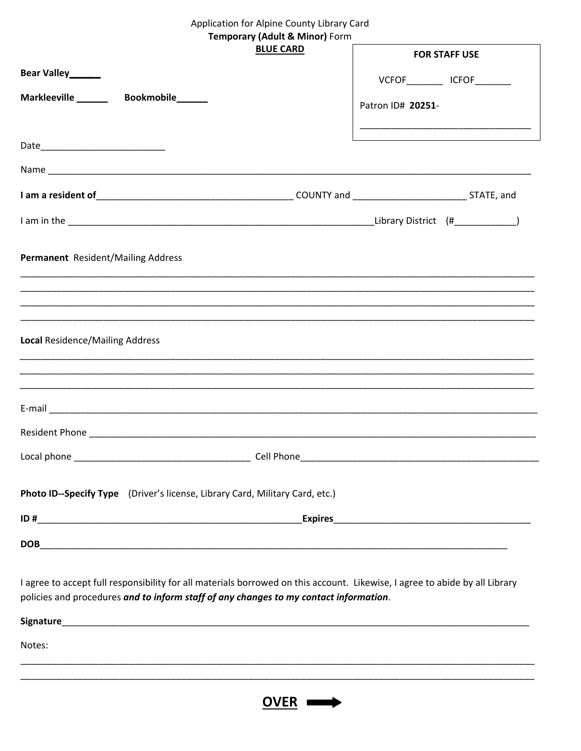## Application for Alpine County Library Card

## **Temporary (Adult & Minor) Form**

| $\frac{1}{2}$<br><b>BLUE CARD</b>                                                                                           |                                                                                                                                                                                                                                                                                                         |
|-----------------------------------------------------------------------------------------------------------------------------|---------------------------------------------------------------------------------------------------------------------------------------------------------------------------------------------------------------------------------------------------------------------------------------------------------|
|                                                                                                                             | <b>FOR STAFF USE</b>                                                                                                                                                                                                                                                                                    |
| Bear Valley_____                                                                                                            | $VCFOF$ $ICFOF$ $ICFOF$ $ICFOF$ $ICFOF$ $ICFOF$ $ICFOF$ $ICFOF$ $ICFOF$ $ICFOF$ $ICFOF$ $ICFOF$ $ICFOF$ $ICFOF$ $ICFOF$ $ICFGF$ $ICFGF$ $ICFGF$ $ICFGF$ $ICFGF$ $ICFGF$ $ICFGF$ $ICFGF$ $ICFGF$ $ICFGF$ $ICFGF$ $ICFGF$ $ICFGF$ $ICFGF$ $ICFGF$ $ICFGF$ $ICFGF$ $ICFGF$ $ICFGF$ $ICFGF$ $ICFGF$ $ICFGF$ |
| Markleeville Bookmobile                                                                                                     |                                                                                                                                                                                                                                                                                                         |
|                                                                                                                             | Patron ID# 20251-                                                                                                                                                                                                                                                                                       |
|                                                                                                                             |                                                                                                                                                                                                                                                                                                         |
|                                                                                                                             |                                                                                                                                                                                                                                                                                                         |
|                                                                                                                             |                                                                                                                                                                                                                                                                                                         |
|                                                                                                                             |                                                                                                                                                                                                                                                                                                         |
|                                                                                                                             |                                                                                                                                                                                                                                                                                                         |
|                                                                                                                             |                                                                                                                                                                                                                                                                                                         |
|                                                                                                                             |                                                                                                                                                                                                                                                                                                         |
| Permanent Resident/Mailing Address                                                                                          |                                                                                                                                                                                                                                                                                                         |
|                                                                                                                             |                                                                                                                                                                                                                                                                                                         |
|                                                                                                                             |                                                                                                                                                                                                                                                                                                         |
|                                                                                                                             |                                                                                                                                                                                                                                                                                                         |
|                                                                                                                             |                                                                                                                                                                                                                                                                                                         |
| <b>Local Residence/Mailing Address</b>                                                                                      |                                                                                                                                                                                                                                                                                                         |
|                                                                                                                             |                                                                                                                                                                                                                                                                                                         |
|                                                                                                                             |                                                                                                                                                                                                                                                                                                         |
|                                                                                                                             |                                                                                                                                                                                                                                                                                                         |
|                                                                                                                             |                                                                                                                                                                                                                                                                                                         |
|                                                                                                                             |                                                                                                                                                                                                                                                                                                         |
|                                                                                                                             |                                                                                                                                                                                                                                                                                                         |
|                                                                                                                             |                                                                                                                                                                                                                                                                                                         |
|                                                                                                                             |                                                                                                                                                                                                                                                                                                         |
| Photo ID--Specify Type (Driver's license, Library Card, Military Card, etc.)                                                |                                                                                                                                                                                                                                                                                                         |
|                                                                                                                             |                                                                                                                                                                                                                                                                                                         |
|                                                                                                                             |                                                                                                                                                                                                                                                                                                         |
|                                                                                                                             |                                                                                                                                                                                                                                                                                                         |
|                                                                                                                             |                                                                                                                                                                                                                                                                                                         |
| I agree to accept full responsibility for all materials borrowed on this account. Likewise, I agree to abide by all Library |                                                                                                                                                                                                                                                                                                         |
| policies and procedures and to inform staff of any changes to my contact information.                                       |                                                                                                                                                                                                                                                                                                         |
|                                                                                                                             |                                                                                                                                                                                                                                                                                                         |
| Notes:                                                                                                                      |                                                                                                                                                                                                                                                                                                         |
|                                                                                                                             |                                                                                                                                                                                                                                                                                                         |